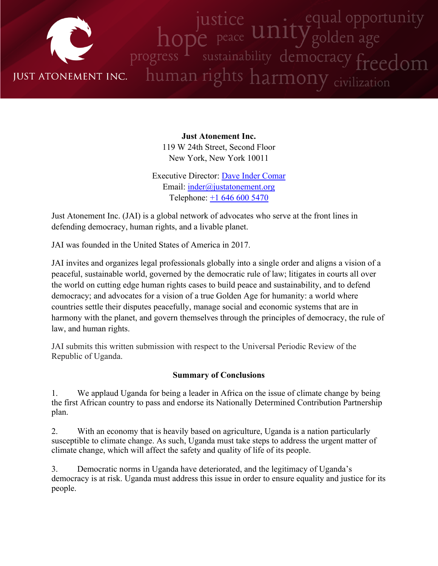

**Just Atonement Inc.** 119 W 24th Street, Second Floor New York, New York 10011

Executive Director: Dave Inder [Comar](http://www.justatonement.org/dave-inder-comar) Email: [inder@justatonement.org](mailto:inder@justatonement.org) Telephone: +1 646 600 [5470](tel:+16466005470)

Just Atonement Inc. (JAI) is <sup>a</sup> global network of advocates who serve at the front lines in defending democracy, human rights, and <sup>a</sup> livable planet.

JAI was founded in the United States of America in 2017.

JAI invites and organizes legal professionals globally into <sup>a</sup> single order and aligns <sup>a</sup> vision of <sup>a</sup> peaceful, sustainable world, governed by the democratic rule of law; litigates in courts all over the world on cutting edge human rights cases to build peace and sustainability, and to defend democracy; and advocates for <sup>a</sup> vision of <sup>a</sup> true Golden Age for humanity: <sup>a</sup> world where countries settle their disputes peacefully, manage social and economic systems that are in harmony with the planet, and govern themselves through the principles of democracy, the rule of law, and human rights.

JAI submits this written submission with respec<sup>t</sup> to the Universal Periodic Review of the Republic of Uganda.

## **Summary of Conclusions**

1. We applaud Uganda for being <sup>a</sup> leader in Africa on the issue of climate change by being the first African country to pass and endorse its Nationally Determined Contribution Partnership plan.

2. With an economy that is heavily based on agriculture, Uganda is <sup>a</sup> nation particularly susceptible to climate change. As such, Uganda must take steps to address the urgen<sup>t</sup> matter of climate change, which will affect the safety and quality of life of its people.

3. Democratic norms in Uganda have deteriorated, and the legitimacy of Uganda'<sup>s</sup> democracy is at risk. Uganda must address this issue in order to ensure equality and justice for its people.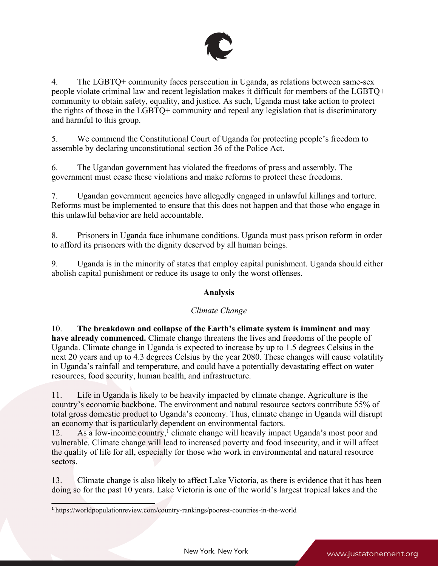

4. The LGBTQ+ community faces persecution in Uganda, as relations between same-sex people violate criminal law and recent legislation makes it difficult for members of the LGBTQ+ community to obtain safety, equality, and justice. As such, Uganda must take action to protect the rights of those in the LGBTQ+ community and repeal any legislation that is discriminatory and harmful to this group.

5. We commend the Constitutional Court of Uganda for protecting people'<sup>s</sup> freedom to assemble by declaring unconstitutional section 36 of the Police Act.

6. The Ugandan governmen<sup>t</sup> has violated the freedoms of press and assembly. The governmen<sup>t</sup> must cease these violations and make reforms to protect these freedoms.

7. Ugandan governmen<sup>t</sup> agencies have allegedly engaged in unlawful killings and torture. Reforms must be implemented to ensure that this does not happen and that those who engage in this unlawful behavior are held accountable.

8. Prisoners in Uganda face inhumane conditions. Uganda must pass prison reform in order to afford its prisoners with the dignity deserved by all human beings.

9. Uganda is in the minority of states that employ capital punishment. Uganda should either abolish capital punishment or reduce its usage to only the worst offenses.

## **Analysis**

## *Climate Change*

10. **The breakdown and collapse of the Earth'<sup>s</sup> climate system is imminent and may have already commenced.** Climate change threatens the lives and freedoms of the people of Uganda. Climate change in Uganda is expected to increase by up to 1.5 degrees Celsius in the next 20 years and up to 4.3 degrees Celsius by the year 2080. These changes will cause volatility in Uganda'<sup>s</sup> rainfall and temperature, and could have <sup>a</sup> potentially devastating effect on water resources, food security, human health, and infrastructure.

11. Life in Uganda is likely to be heavily impacted by climate change. Agriculture is the country'<sup>s</sup> economic backbone. The environment and natural resource sectors contribute 55% of total gross domestic product to Uganda'<sup>s</sup> economy. Thus, climate change in Uganda will disrupt an economy that is particularly dependent on environmental factors.

12. As a low-income country,<sup>1</sup> climate change will heavily impact Uganda's most poor and vulnerable. Climate change will lead to increased poverty and food insecurity, and it will affect the quality of life for all, especially for those who work in environmental and natural resource sectors.

13. Climate change is also likely to affect Lake Victoria, as there is evidence that it has been doing so for the pas<sup>t</sup> 10 years. Lake Victoria is one of the world'<sup>s</sup> largest tropical lakes and the

<sup>&</sup>lt;sup>1</sup> https://worldpopulationreview.com/country-rankings/poorest-countries-in-the-world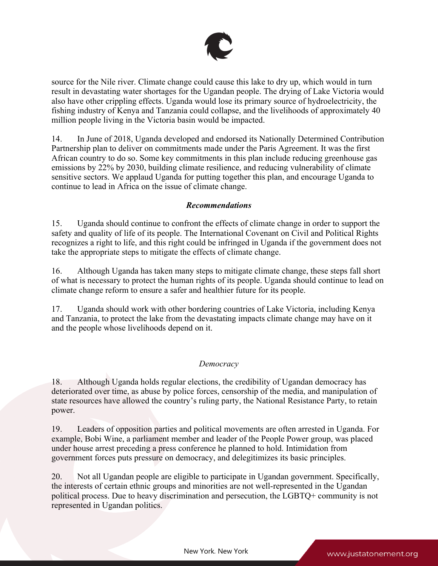

source for the Nile river. Climate change could cause this lake to dry up, which would in turn result in devastating water shortages for the Ugandan people. The drying of Lake Victoria would also have other crippling effects. Uganda would lose its primary source of hydroelectricity, the fishing industry of Kenya and Tanzania could collapse, and the livelihoods of approximately 40 million people living in the Victoria basin would be impacted.

14. In June of 2018, Uganda developed and endorsed its Nationally Determined Contribution Partnership plan to deliver on commitments made under the Paris Agreement. It was the first African country to do so. Some key commitments in this plan include reducing greenhouse gas emissions by 22% by 2030, building climate resilience, and reducing vulnerability of climate sensitive sectors. We applaud Uganda for putting together this plan, and encourage Uganda to continue to lead in Africa on the issue of climate change.

#### *Recommendations*

15. Uganda should continue to confront the effects of climate change in order to suppor<sup>t</sup> the safety and quality of life of its people. The International Covenant on Civil and Political Rights recognizes <sup>a</sup> right to life, and this right could be infringed in Uganda if the governmen<sup>t</sup> does not take the appropriate steps to mitigate the effects of climate change.

16. Although Uganda has taken many steps to mitigate climate change, these steps fall short of what is necessary to protect the human rights of its people. Uganda should continue to lead on climate change reform to ensure <sup>a</sup> safer and healthier future for its people.

17. Uganda should work with other bordering countries of Lake Victoria, including Kenya and Tanzania, to protect the lake from the devastating impacts climate change may have on it and the people whose livelihoods depend on it.

#### *Democracy*

18. Although Uganda holds regular elections, the credibility of Ugandan democracy has deteriorated over time, as abuse by police forces, censorship of the media, and manipulation of state resources have allowed the country'<sup>s</sup> ruling party, the National Resistance Party, to retain power.

19. Leaders of opposition parties and political movements are often arrested in Uganda. For example, Bobi Wine, <sup>a</sup> parliament member and leader of the People Power group, was placed under house arrest preceding <sup>a</sup> press conference he planned to hold. Intimidation from governmen<sup>t</sup> forces puts pressure on democracy, and delegitimizes its basic principles.

20. Not all Ugandan people are eligible to participate in Ugandan government. Specifically, the interests of certain ethnic groups and minorities are not well-represented in the Ugandan political process. Due to heavy discrimination and persecution, the LGBTQ+ community is not represented in Ugandan politics.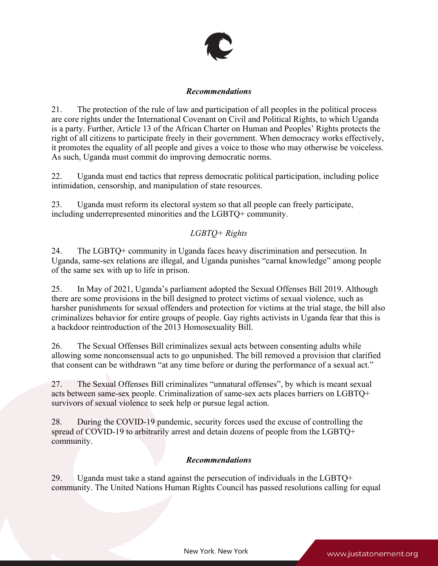

#### *Recommendations*

21. The protection of the rule of law and participation of all peoples in the political process are core rights under the International Covenant on Civil and Political Rights, to which Uganda is <sup>a</sup> party. Further, Article 13 of the African Charter on Human and Peoples' Rights protects the right of all citizens to participate freely in their government. When democracy works effectively, it promotes the equality of all people and gives <sup>a</sup> voice to those who may otherwise be voiceless. As such, Uganda must commit do improving democratic norms.

22. Uganda must end tactics that repress democratic political participation, including police intimidation, censorship, and manipulation of state resources.

23. Uganda must reform its electoral system so that all people can freely participate, including underrepresented minorities and the LGBTQ+ community.

# *LGBTQ+ Rights*

24. The LGBTQ+ community in Uganda faces heavy discrimination and persecution. In Uganda, same-sex relations are illegal, and Uganda punishes "carnal knowledge" among people of the same sex with up to life in prison.

25. In May of 2021, Uganda'<sup>s</sup> parliament adopted the Sexual Offenses Bill 2019. Although there are some provisions in the bill designed to protect victims of sexual violence, such as harsher punishments for sexual offenders and protection for victims at the trial stage, the bill also criminalizes behavior for entire groups of people. Gay rights activists in Uganda fear that this is <sup>a</sup> backdoor reintroduction of the 2013 Homosexuality Bill.

26. The Sexual Offenses Bill criminalizes sexual acts between consenting adults while allowing some nonconsensual acts to go unpunished. The bill removed <sup>a</sup> provision that clarified that consent can be withdrawn "at any time before or during the performance of <sup>a</sup> sexual act."

27. The Sexual Offenses Bill criminalizes "unnatural offenses", by which is meant sexual acts between same-sex people. Criminalization of same-sex acts places barriers on LGBTQ+ survivors of sexual violence to seek help or pursue legal action.

28. During the COVID-19 pandemic, security forces used the excuse of controlling the spread of COVID-19 to arbitrarily arrest and detain dozens of people from the LGBTQ+ community.

# *Recommendations*

29. Uganda must take <sup>a</sup> stand against the persecution of individuals in the LGBTQ+ community. The United Nations Human Rights Council has passed resolutions calling for equal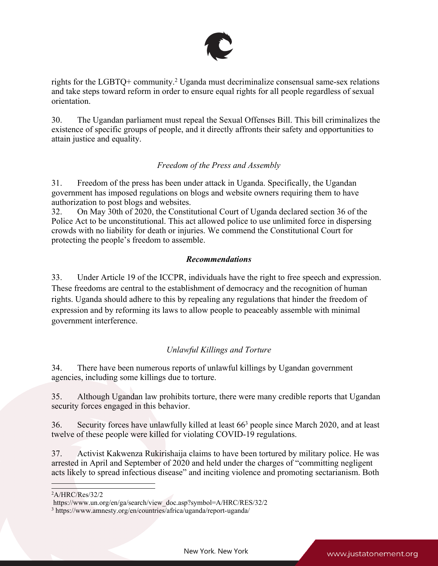

rights for the LGBTQ+ community. <sup>2</sup> Uganda must decriminalize consensual same-sex relations and take steps toward reform in order to ensure equal rights for all people regardless of sexual orientation.

30. The Ugandan parliament must repeal the Sexual Offenses Bill. This bill criminalizes the existence of specific groups of people, and it directly affronts their safety and opportunities to attain justice and equality.

# *Freedom of the Press and Assembly*

31. Freedom of the press has been under attack in Uganda. Specifically, the Ugandan governmen<sup>t</sup> has imposed regulations on blogs and website owners requiring them to have authorization to pos<sup>t</sup> blogs and websites.

32. On May 30th of 2020, the Constitutional Court of Uganda declared section 36 of the Police Act to be unconstitutional. This act allowed police to use unlimited force in dispersing crowds with no liability for death or injuries. We commend the Constitutional Court for protecting the people'<sup>s</sup> freedom to assemble.

## *Recommendations*

33. Under Article 19 of the ICCPR, individuals have the right to free speech and expression. These freedoms are central to the establishment of democracy and the recognition of human rights. Uganda should adhere to this by repealing any regulations that hinder the freedom of expression and by reforming its laws to allow people to peaceably assemble with minimal governmen<sup>t</sup> interference.

# *Unlawful Killings and Torture*

34. There have been numerous reports of unlawful killings by Ugandan governmen<sup>t</sup> agencies, including some killings due to torture.

35. Although Ugandan law prohibits torture, there were many credible reports that Ugandan security forces engaged in this behavior.

36. Security forces have unlawfully killed at least 66<sup>3</sup> people since March 2020, and at least twelve of these people were killed for violating COVID-19 regulations.

37. Activist Kakwenza Rukirishaija claims to have been tortured by military police. He was arrested in April and September of 2020 and held under the charges of "committing negligent acts likely to spread infectious disease" and inciting violence and promoting sectarianism. Both

<sup>2</sup>A/HRC/Res/32/2

https://www.un.org/en/ga/search/view\_doc.asp?symbol=A/HRC/RES/32/2

<sup>3</sup> https://www.amnesty.org/en/countries/africa/uganda/report-uganda/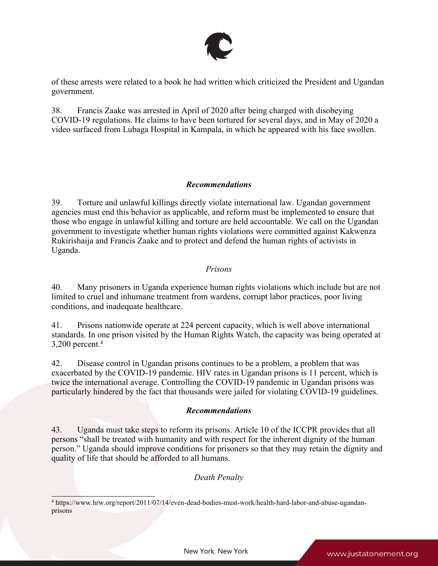

of these arrests were related to <sup>a</sup> book he had written which criticized the President and Ugandan government.

38. Francis Zaake was arrested in April of 2020 after being charged with disobeying COVID-19 regulations. He claims to have been tortured for several days, and in May of 2020 <sup>a</sup> video surfaced from Lubaga Hospital in Kampala, in which he appeared with his face swollen.

#### *Recommendations*

39. Torture and unlawful killings directly violate international law. Ugandan governmen<sup>t</sup> agencies must end this behavior as applicable, and reform must be implemented to ensure that those who engage in unlawful killing and torture are held accountable. We call on the Ugandan governmen<sup>t</sup> to investigate whether human rights violations were committed against Kakwenza Rukirishaija and Francis Zaake and to protect and defend the human rights of activists in Uganda.

#### *Prisons*

40. Many prisoners in Uganda experience human rights violations which include but are not limited to cruel and inhumane treatment from wardens, corrup<sup>t</sup> labor practices, poor living conditions, and inadequate healthcare.

41. Prisons nationwide operate at 224 percen<sup>t</sup> capacity, which is well above international standards. In one prison visited by the Human Rights Watch, the capacity was being operated at 3,200 percent. 4

42. Disease control in Ugandan prisons continues to be <sup>a</sup> problem, <sup>a</sup> problem that was exacerbated by the COVID-19 pandemic. HIV rates in Ugandan prisons is 11 percent, which is twice the international average. Controlling the COVID-19 pandemic in Ugandan prisons was particularly hindered by the fact that thousands were jailed for violating COVID-19 guidelines.

## *Recommendations*

43. Uganda must take steps to reform its prisons. Article 10 of the ICCPR provides that all persons "shall be treated with humanity and with respec<sup>t</sup> for the inherent dignity of the human person." Uganda should improve conditions for prisoners so that they may retain the dignity and quality of life that should be afforded to all humans.

## *Death Penalty*

<sup>4</sup> https://www.hrw.org/report/2011/07/14/even-dead-bodies-must-work/health-hard-labor-and-abuse-ugandanprisons